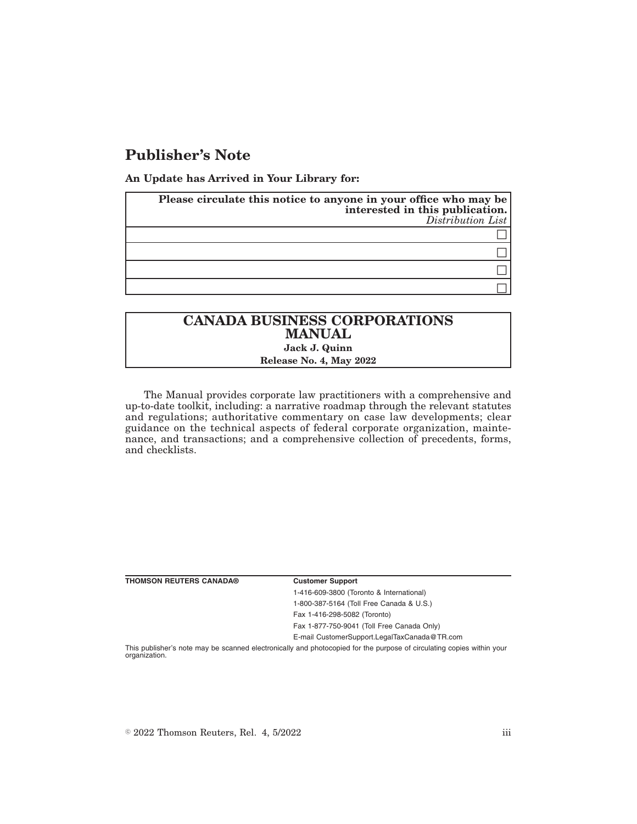## **Publisher's Note**

**An Update has Arrived in Your Library for:**

| Please circulate this notice to anyone in your office who may be<br>interested in this publication.<br>Distribution List |
|--------------------------------------------------------------------------------------------------------------------------|
|                                                                                                                          |
|                                                                                                                          |
|                                                                                                                          |
|                                                                                                                          |

## **CANADA BUSINESS CORPORATIONS MANUAL Jack J. Quinn Release No. 4, May 2022**

The Manual provides corporate law practitioners with a comprehensive and up-to-date toolkit, including: a narrative roadmap through the relevant statutes and regulations; authoritative commentary on case law developments; clear guidance on the technical aspects of federal corporate organization, maintenance, and transactions; and a comprehensive collection of precedents, forms, and checklists.

| <b>THOMSON REUTERS CANADA®</b> | <b>Customer Support</b>                                                                                               |
|--------------------------------|-----------------------------------------------------------------------------------------------------------------------|
|                                | 1-416-609-3800 (Toronto & International)                                                                              |
|                                | 1-800-387-5164 (Toll Free Canada & U.S.)                                                                              |
|                                | Fax 1-416-298-5082 (Toronto)                                                                                          |
|                                | Fax 1-877-750-9041 (Toll Free Canada Only)                                                                            |
|                                | E-mail CustomerSupport.LegalTaxCanada@TR.com                                                                          |
|                                | This publisher's note may be scanned electronically and photocopied for the purpose of circulating copies within your |

organization.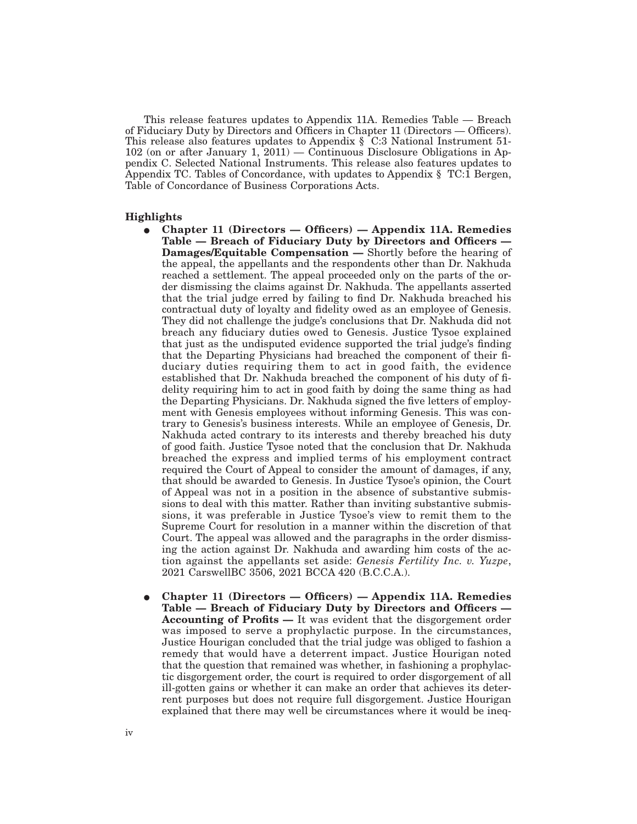This release features updates to Appendix 11A. Remedies Table — Breach of Fiduciary Duty by Directors and Officers in Chapter 11 (Directors — Officers). This release also features updates to Appendix § C:3 National Instrument 51- 102 (on or after January 1, 2011) — Continuous Disclosure Obligations in Appendix C. Selected National Instruments. This release also features updates to Appendix TC. Tables of Concordance, with updates to Appendix § TC:1 Bergen, Table of Concordance of Business Corporations Acts.

## **Highlights**

- E **Chapter 11 (Directors Officers) Appendix 11A. Remedies Table — Breach of Fiduciary Duty by Directors and Officers — Damages/Equitable Compensation —** Shortly before the hearing of the appeal, the appellants and the respondents other than Dr. Nakhuda reached a settlement. The appeal proceeded only on the parts of the order dismissing the claims against Dr. Nakhuda. The appellants asserted that the trial judge erred by failing to find Dr. Nakhuda breached his contractual duty of loyalty and fidelity owed as an employee of Genesis. They did not challenge the judge's conclusions that Dr. Nakhuda did not breach any fiduciary duties owed to Genesis. Justice Tysoe explained that just as the undisputed evidence supported the trial judge's finding that the Departing Physicians had breached the component of their fiduciary duties requiring them to act in good faith, the evidence established that Dr. Nakhuda breached the component of his duty of fidelity requiring him to act in good faith by doing the same thing as had the Departing Physicians. Dr. Nakhuda signed the five letters of employment with Genesis employees without informing Genesis. This was contrary to Genesis's business interests. While an employee of Genesis, Dr. Nakhuda acted contrary to its interests and thereby breached his duty of good faith. Justice Tysoe noted that the conclusion that Dr. Nakhuda breached the express and implied terms of his employment contract required the Court of Appeal to consider the amount of damages, if any, that should be awarded to Genesis. In Justice Tysoe's opinion, the Court of Appeal was not in a position in the absence of substantive submissions to deal with this matter. Rather than inviting substantive submissions, it was preferable in Justice Tysoe's view to remit them to the Supreme Court for resolution in a manner within the discretion of that Court. The appeal was allowed and the paragraphs in the order dismissing the action against Dr. Nakhuda and awarding him costs of the action against the appellants set aside: *Genesis Fertility Inc. v. Yuzpe*, 2021 CarswellBC 3506, 2021 BCCA 420 (B.C.C.A.).
- E **Chapter 11 (Directors Officers) Appendix 11A. Remedies Table — Breach of Fiduciary Duty by Directors and Officers — Accounting of Profits —** It was evident that the disgorgement order was imposed to serve a prophylactic purpose. In the circumstances, Justice Hourigan concluded that the trial judge was obliged to fashion a remedy that would have a deterrent impact. Justice Hourigan noted that the question that remained was whether, in fashioning a prophylactic disgorgement order, the court is required to order disgorgement of all ill-gotten gains or whether it can make an order that achieves its deterrent purposes but does not require full disgorgement. Justice Hourigan explained that there may well be circumstances where it would be ineq-